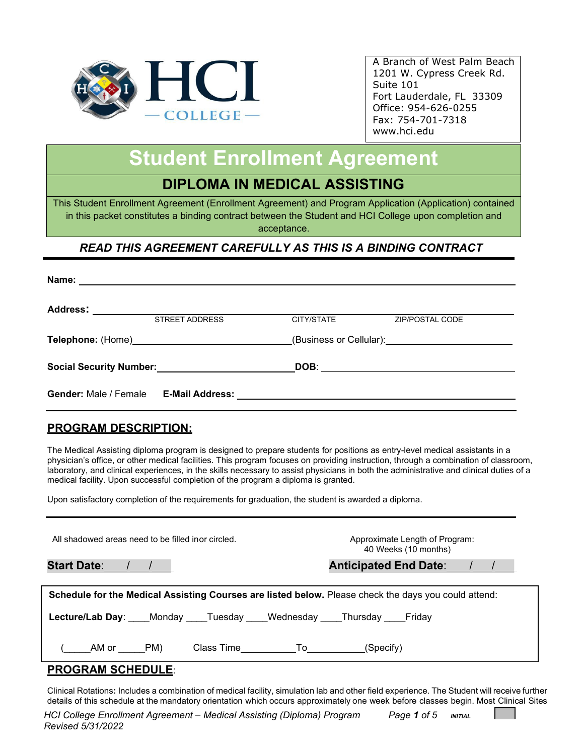

# **Student Enrollment Agreement**

# **DIPLOMA IN MEDICAL ASSISTING**

This Student Enrollment Agreement (Enrollment Agreement) and Program Application (Application) contained in this packet constitutes a binding contract between the Student and HCI College upon completion and acceptance.

## *READ THIS AGREEMENT CAREFULLY AS THIS IS A BINDING CONTRACT*

| Name:                                              | <u> 1989 - Johann Stoff, deutscher Stoff, der Stoff, der Stoff, der Stoff, der Stoff, der Stoff, der Stoff, der S</u> |                                       |                                       |  |
|----------------------------------------------------|-----------------------------------------------------------------------------------------------------------------------|---------------------------------------|---------------------------------------|--|
| <b>Address:</b>                                    |                                                                                                                       |                                       |                                       |  |
|                                                    | <b>STREET ADDRESS</b>                                                                                                 | CITY/STATE                            | ZIP/POSTAL CODE                       |  |
|                                                    |                                                                                                                       | (Business or Cellular): <u>[2006]</u> |                                       |  |
| Social Security Number:<br>Social Security Number: |                                                                                                                       |                                       | DOB: ________________________________ |  |
| <b>Gender: Male / Female</b>                       |                                                                                                                       |                                       |                                       |  |

## **PROGRAM DESCRIPTION:**

The Medical Assisting diploma program is designed to prepare students for positions as entry-level medical assistants in a physician's office, or other medical facilities. This program focuses on providing instruction, through a combination of classroom, laboratory, and clinical experiences, in the skills necessary to assist physicians in both the administrative and clinical duties of a medical facility. Upon successful completion of the program a diploma is granted.

Upon satisfactory completion of the requirements for graduation, the student is awarded a diploma.

| All shadowed areas need to be filled inor circled.                                                   | Approximate Length of Program:<br>40 Weeks (10 months) |  |  |  |  |
|------------------------------------------------------------------------------------------------------|--------------------------------------------------------|--|--|--|--|
|                                                                                                      | Anticipated End Date: / /                              |  |  |  |  |
| Schedule for the Medical Assisting Courses are listed below. Please check the days you could attend: |                                                        |  |  |  |  |
| Lecture/Lab Day: Monday Tuesday Wednesday Thursday Friday                                            |                                                        |  |  |  |  |
| AM or PM)<br>Class Time To To                                                                        | (Specify)                                              |  |  |  |  |
|                                                                                                      |                                                        |  |  |  |  |

#### **PROGRAM SCHEDULE**:

Clinical Rotations**:** Includes a combination of medical facility, simulation lab and other field experience. The Student will receive further details of this schedule at the mandatory orientation which occurs approximately one week before classes begin. Most Clinical Sites

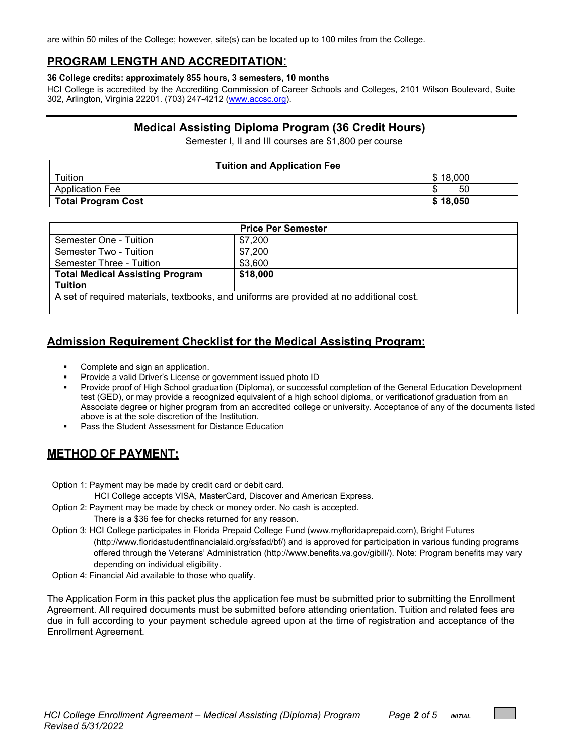are within 50 miles of the College; however, site(s) can be located up to 100 miles from the College.

### **PROGRAM LENGTH AND ACCREDITATION**:

#### **36 College credits: approximately 855 hours, 3 semesters, 10 months**

HCI College is accredited by the Accrediting Commission of Career Schools and Colleges, 2101 Wilson Boulevard, Suite 302, Arlington, Virginia 22201. (703) 247-4212 [\(www.accsc.org\)](http://www.accsc.org/).

### **Medical Assisting Diploma Program (36 Credit Hours)**

Semester I, II and III courses are \$1,800 per course

| <b>Tuition and Application Fee</b> |          |  |  |  |
|------------------------------------|----------|--|--|--|
| Tuition                            | \$18,000 |  |  |  |
| <b>Application Fee</b>             | 50       |  |  |  |
| <b>Total Program Cost</b>          | \$18,050 |  |  |  |

|                                                                                          | <b>Price Per Semester</b> |  |  |  |
|------------------------------------------------------------------------------------------|---------------------------|--|--|--|
| Semester One - Tuition                                                                   | \$7,200                   |  |  |  |
| Semester Two - Tuition                                                                   | \$7,200                   |  |  |  |
| Semester Three - Tuition                                                                 | \$3,600                   |  |  |  |
| <b>Total Medical Assisting Program</b>                                                   | \$18,000                  |  |  |  |
| <b>Tuition</b>                                                                           |                           |  |  |  |
| A set of required materials, textbooks, and uniforms are provided at no additional cost. |                           |  |  |  |

## **Admission Requirement Checklist for the Medical Assisting Program:**

- Complete and sign an application.
- Provide a valid Driver's License or government issued photo ID
- Provide proof of High School graduation (Diploma), or successful completion of the General Education Development test (GED), or may provide a recognized equivalent of a high school diploma, or verificationof graduation from an Associate degree or higher program from an accredited college or university. Acceptance of any of the documents listed above is at the sole discretion of the Institution.
- Pass the Student Assessment for Distance Education

## **METHOD OF PAYMENT:**

Option 1: Payment may be made by credit card or debit card.

HCI College accepts VISA, MasterCard, Discover and American Express.

Option 2: Payment may be made by check or money order. No cash is accepted.

There is a \$36 fee for checks returned for any reason.

- Option 3: HCI College participates in Florida Prepaid College Fund (www.myfloridaprepaid.com), Bright Futures [\(http://www.floridastudentfinancialaid.org/ssfad/bf/\)](http://www.floridastudentfinancialaid.org/ssfad/bf/) and is approved for participation in various funding programs offered through the Veterans' Administration [\(http://www.benefits.va.gov/gibill/\)](http://www.benefits.va.gov/gibill/). Note: Program benefits may vary depending on individual eligibility.
- Option 4: Financial Aid available to those who qualify.

The Application Form in this packet plus the application fee must be submitted prior to submitting the Enrollment Agreement. All required documents must be submitted before attending orientation. Tuition and related fees are due in full according to your payment schedule agreed upon at the time of registration and acceptance of the Enrollment Agreement.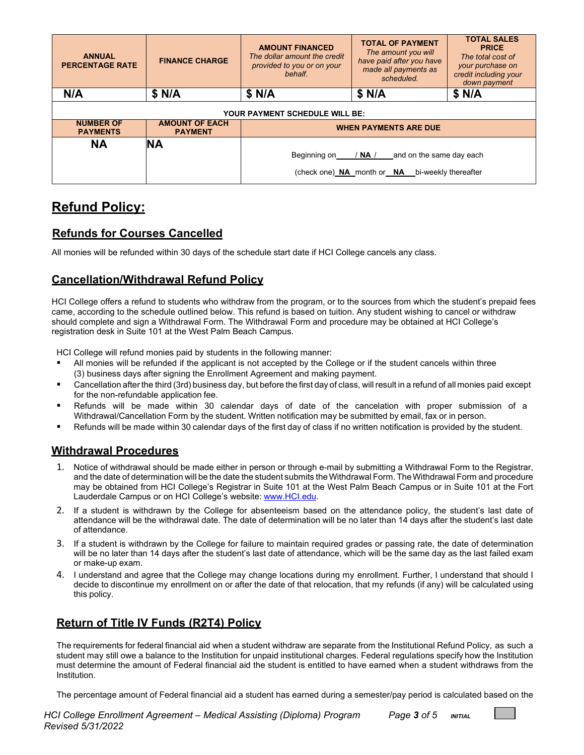| <b>ANNUAL</b><br><b>PERCENTAGE RATE</b> | <b>FINANCE CHARGE</b>                   | <b>AMOUNT FINANCED</b><br>The dollar amount the credit<br>provided to you or on your<br>behalf. | <b>TOTAL OF PAYMENT</b><br>The amount you will<br>have paid after you have<br>made all payments as<br>scheduled. | <b>TOTAL SALES</b><br><b>PRICE</b><br>The total cost of<br>your purchase on<br>credit including your<br>down payment |  |  |  |
|-----------------------------------------|-----------------------------------------|-------------------------------------------------------------------------------------------------|------------------------------------------------------------------------------------------------------------------|----------------------------------------------------------------------------------------------------------------------|--|--|--|
| N/A                                     | \$ N/A                                  | \$ N/A                                                                                          | \$ N/A                                                                                                           | \$ N/A                                                                                                               |  |  |  |
| <b>YOUR PAYMENT SCHEDULE WILL BE:</b>   |                                         |                                                                                                 |                                                                                                                  |                                                                                                                      |  |  |  |
| <b>NUMBER OF</b><br><b>PAYMENTS</b>     | <b>AMOUNT OF EACH</b><br><b>PAYMENT</b> | <b>WHEN PAYMENTS ARE DUE</b>                                                                    |                                                                                                                  |                                                                                                                      |  |  |  |
| <b>NA</b>                               | <b>NA</b>                               | Beginning on / NA /                                                                             | and on the same day each<br>(check one) NA month or NA bi-weekly thereafter                                      |                                                                                                                      |  |  |  |

## **Refund Policy:**

## **Refunds for Courses Cancelled**

All monies will be refunded within 30 days of the schedule start date if HCI College cancels any class.

## **Cancellation/Withdrawal Refund Policy**

HCI College offers a refund to students who withdraw from the program, or to the sources from which the student's prepaid fees came, according to the schedule outlined below. This refund is based on tuition. Any student wishing to cancel or withdraw should complete and sign a Withdrawal Form. The Withdrawal Form and procedure may be obtained at HCI College's registration desk in Suite 101 at the West Palm Beach Campus.

HCI College will refund monies paid by students in the following manner:

- All monies will be refunded if the applicant is not accepted by the College or if the student cancels within three (3) business days after signing the Enrollment Agreement and making payment.
- Cancellation after the third (3rd) business day, but before the first day of class, will result in a refund of all monies paid except for the non-refundable application fee.
- Refunds will be made within 30 calendar days of date of the cancelation with proper submission of a Withdrawal/Cancellation Form by the student. Written notification may be submitted by email, fax or in person.
- Refunds will be made within 30 calendar days of the first day of class if no written notification is provided by the student.

## **Withdrawal Procedures**

- 1. Notice of withdrawal should be made either in person or through e-mail by submitting a Withdrawal Form to the Registrar, and the date of determination will be the date the student submits the Withdrawal Form. The Withdrawal Form and procedure may be obtained from HCI College's Registrar in Suite 101 at the West Palm Beach Campus or in Suite 101 at the Fort Lauderdale Campus or on HCI College's website: [www.HCI.edu.](http://www.hci.edu/)
- 2. If a student is withdrawn by the College for absenteeism based on the attendance policy, the student's last date of attendance will be the withdrawal date. The date of determination will be no later than 14 days after the student's last date of attendance.
- 3. If a student is withdrawn by the College for failure to maintain required grades or passing rate, the date of determination will be no later than 14 days after the student's last date of attendance, which will be the same day as the last failed exam or make-up exam.
- 4. I understand and agree that the College may change locations during my enrollment. Further, I understand that should I decide to discontinue my enrollment on or after the date of that relocation, that my refunds (if any) will be calculated using this policy.

## **Return of Title IV Funds (R2T4) Policy**

The requirements for federal financial aid when a student withdraw are separate from the Institutional Refund Policy, as such a student may still owe a balance to the Institution for unpaid institutional charges. Federal regulations specify how the Institution must determine the amount of Federal financial aid the student is entitled to have earned when a student withdraws from the Institution.

The percentage amount of Federal financial aid a student has earned during a semester/pay period is calculated based on the

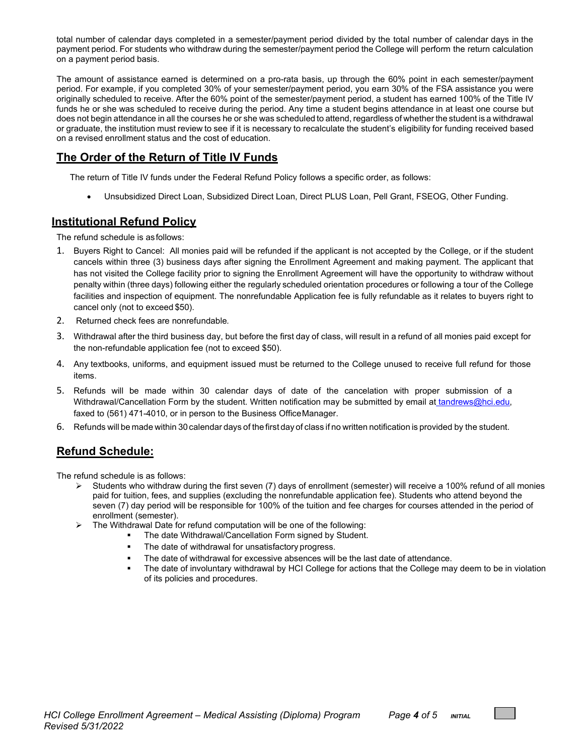total number of calendar days completed in a semester/payment period divided by the total number of calendar days in the payment period. For students who withdraw during the semester/payment period the College will perform the return calculation on a payment period basis.

The amount of assistance earned is determined on a pro-rata basis, up through the 60% point in each semester/payment period. For example, if you completed 30% of your semester/payment period, you earn 30% of the FSA assistance you were originally scheduled to receive. After the 60% point of the semester/payment period, a student has earned 100% of the Title IV funds he or she was scheduled to receive during the period. Any time a student begins attendance in at least one course but does not begin attendance in all the courses he or she was scheduled to attend, regardless of whether the student is a withdrawal or graduate, the institution must review to see if it is necessary to recalculate the student's eligibility for funding received based on a revised enrollment status and the cost of education.

### **The Order of the Return of Title IV Funds**

The return of Title IV funds under the Federal Refund Policy follows a specific order, as follows:

• Unsubsidized Direct Loan, Subsidized Direct Loan, Direct PLUS Loan, Pell Grant, FSEOG, Other Funding.

#### **Institutional Refund Policy**

The refund schedule is asfollows:

- 1. Buyers Right to Cancel: All monies paid will be refunded if the applicant is not accepted by the College, or if the student cancels within three (3) business days after signing the Enrollment Agreement and making payment. The applicant that has not visited the College facility prior to signing the Enrollment Agreement will have the opportunity to withdraw without penalty within (three days) following either the regularly scheduled orientation procedures or following a tour of the College facilities and inspection of equipment. The nonrefundable Application fee is fully refundable as it relates to buyers right to cancel only (not to exceed \$50).
- 2. Returned check fees are nonrefundable*.*
- 3. Withdrawal after the third business day, but before the first day of class, will result in a refund of all monies paid except for the non-refundable application fee (not to exceed \$50).
- 4. Any textbooks, uniforms, and equipment issued must be returned to the College unused to receive full refund for those items.
- 5. Refunds will be made within 30 calendar days of date of the cancelation with proper submission of a Withdrawal/Cancellation Form by the student. Written notification may be submitted by email at tandrews@hci.edu, [fa](mailto:tandrews@hci.edu)xed to (561) 471-4010, or in person to the Business OfficeManager.
- 6. Refunds will be made within 30calendar days of the first day of class if no written notification is provided by the student.

## **Refund Schedule:**

The refund schedule is as follows:

- $\triangleright$  Students who withdraw during the first seven (7) days of enrollment (semester) will receive a 100% refund of all monies paid for tuition, fees, and supplies (excluding the nonrefundable application fee). Students who attend beyond the seven (7) day period will be responsible for 100% of the tuition and fee charges for courses attended in the period of enrollment (semester).
- $\triangleright$  The Withdrawal Date for refund computation will be one of the following:
	- The date Withdrawal/Cancellation Form signed by Student.
	- The date of withdrawal for unsatisfactory progress.
	- The date of withdrawal for excessive absences will be the last date of attendance.
	- The date of involuntary withdrawal by HCI College for actions that the College may deem to be in violation of its policies and procedures.